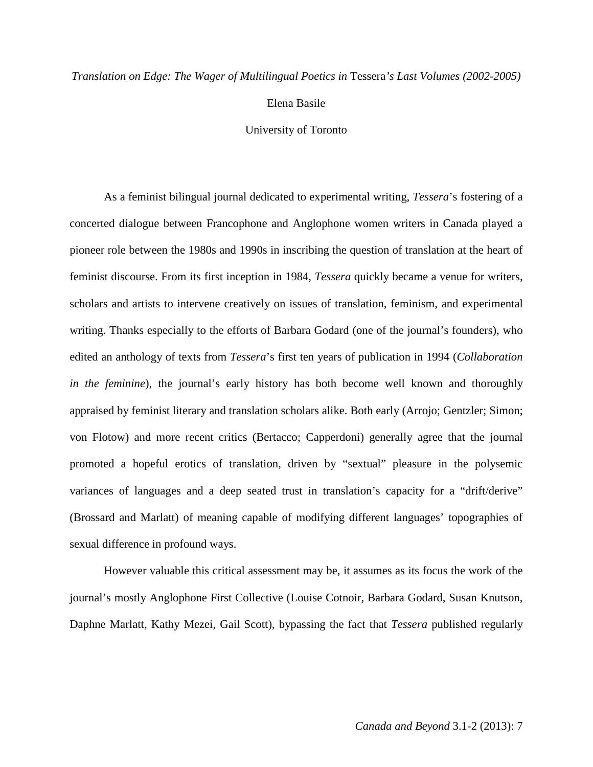# *Translation on Edge: The Wager of Multilingual Poetics in* Tessera*'s Last Volumes (2002-2005)*

Elena Basile

University of Toronto

As a feminist bilingual journal dedicated to experimental writing, *Tessera*'s fostering of a concerted dialogue between Francophone and Anglophone women writers in Canada played a pioneer role between the 1980s and 1990s in inscribing the question of translation at the heart of feminist discourse. From its first inception in 1984, *Tessera* quickly became a venue for writers, scholars and artists to intervene creatively on issues of translation, feminism, and experimental writing. Thanks especially to the efforts of Barbara Godard (one of the journal's founders), who edited an anthology of texts from *Tessera*'s first ten years of publication in 1994 (*Collaboration in the feminine*), the journal's early history has both become well known and thoroughly appraised by feminist literary and translation scholars alike. Both early (Arrojo; Gentzler; Simon; von Flotow) and more recent critics (Bertacco; Capperdoni) generally agree that the journal promoted a hopeful erotics of translation, driven by "sextual" pleasure in the polysemic variances of languages and a deep seated trust in translation's capacity for a "drift/derive" (Brossard and Marlatt) of meaning capable of modifying different languages' topographies of sexual difference in profound ways.

However valuable this critical assessment may be, it assumes as its focus the work of the journal's mostly Anglophone First Collective (Louise Cotnoir, Barbara Godard, Susan Knutson, Daphne Marlatt, Kathy Mezei, Gail Scott), bypassing the fact that *Tessera* published regularly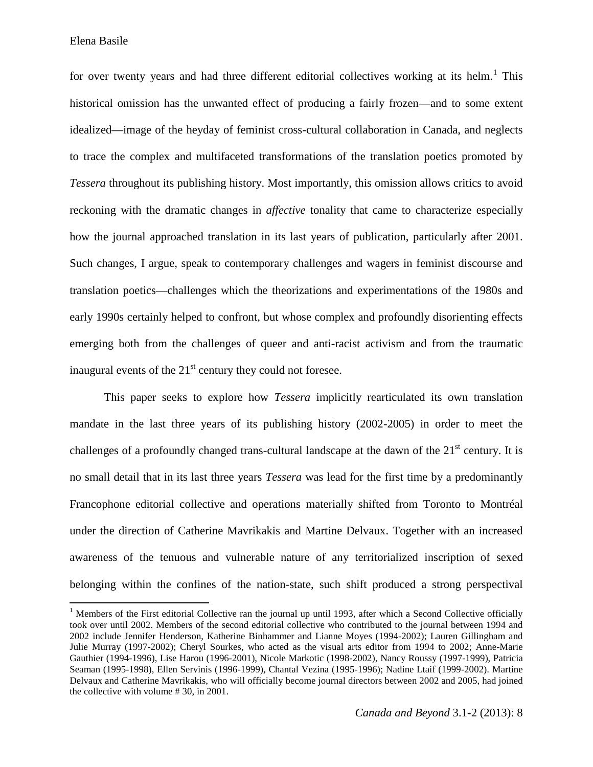Elena Basile

 $\overline{\phantom{0}}$ 

for over twenty years and had three different editorial collectives working at its helm.<sup>[1](#page-1-0)</sup> This historical omission has the unwanted effect of producing a fairly frozen—and to some extent idealized—image of the heyday of feminist cross-cultural collaboration in Canada, and neglects to trace the complex and multifaceted transformations of the translation poetics promoted by *Tessera* throughout its publishing history. Most importantly, this omission allows critics to avoid reckoning with the dramatic changes in *affective* tonality that came to characterize especially how the journal approached translation in its last years of publication, particularly after 2001. Such changes, I argue, speak to contemporary challenges and wagers in feminist discourse and translation poetics—challenges which the theorizations and experimentations of the 1980s and early 1990s certainly helped to confront, but whose complex and profoundly disorienting effects emerging both from the challenges of queer and anti-racist activism and from the traumatic inaugural events of the  $21<sup>st</sup>$  century they could not foresee.

This paper seeks to explore how *Tessera* implicitly rearticulated its own translation mandate in the last three years of its publishing history (2002-2005) in order to meet the challenges of a profoundly changed trans-cultural landscape at the dawn of the  $21<sup>st</sup>$  century. It is no small detail that in its last three years *Tessera* was lead for the first time by a predominantly Francophone editorial collective and operations materially shifted from Toronto to Montréal under the direction of Catherine Mavrikakis and Martine Delvaux. Together with an increased awareness of the tenuous and vulnerable nature of any territorialized inscription of sexed belonging within the confines of the nation-state, such shift produced a strong perspectival

<span id="page-1-0"></span><sup>&</sup>lt;sup>1</sup> Members of the First editorial Collective ran the journal up until 1993, after which a Second Collective officially took over until 2002. Members of the second editorial collective who contributed to the journal between 1994 and 2002 include Jennifer Henderson, Katherine Binhammer and Lianne Moyes (1994-2002); Lauren Gillingham and Julie Murray (1997-2002); Cheryl Sourkes, who acted as the visual arts editor from 1994 to 2002; Anne-Marie Gauthier (1994-1996), Lise Harou (1996-2001), Nicole Markotic (1998-2002), Nancy Roussy (1997-1999), Patricia Seaman (1995-1998), Ellen Servinis (1996-1999), Chantal Vezina (1995-1996); Nadine Ltaif (1999-2002). Martine Delvaux and Catherine Mavrikakis, who will officially become journal directors between 2002 and 2005, had joined the collective with volume # 30, in 2001.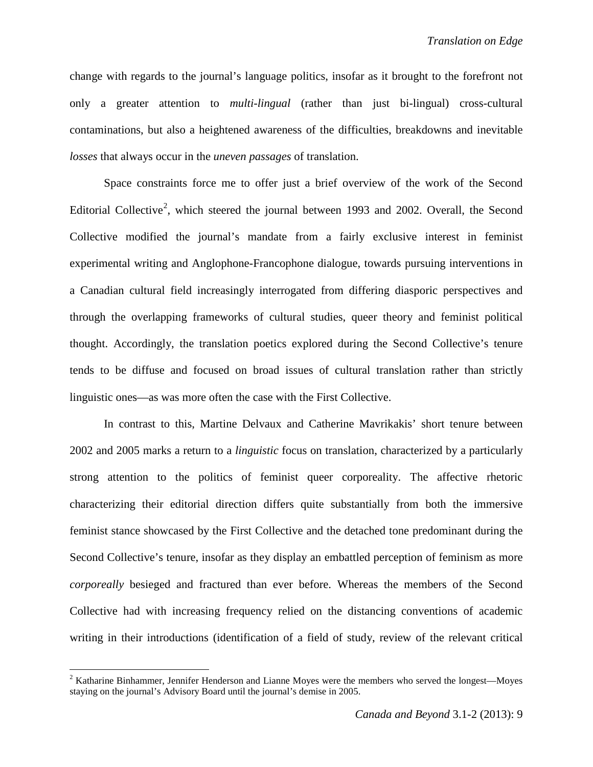change with regards to the journal's language politics, insofar as it brought to the forefront not only a greater attention to *multi-lingual* (rather than just bi-lingual) cross-cultural contaminations, but also a heightened awareness of the difficulties, breakdowns and inevitable *losses* that always occur in the *uneven passages* of translation.

Space constraints force me to offer just a brief overview of the work of the Second Editorial Collective<sup>[2](#page-2-0)</sup>, which steered the journal between 1993 and 2002. Overall, the Second Collective modified the journal's mandate from a fairly exclusive interest in feminist experimental writing and Anglophone-Francophone dialogue, towards pursuing interventions in a Canadian cultural field increasingly interrogated from differing diasporic perspectives and through the overlapping frameworks of cultural studies, queer theory and feminist political thought. Accordingly, the translation poetics explored during the Second Collective's tenure tends to be diffuse and focused on broad issues of cultural translation rather than strictly linguistic ones—as was more often the case with the First Collective.

In contrast to this, Martine Delvaux and Catherine Mavrikakis' short tenure between 2002 and 2005 marks a return to a *linguistic* focus on translation, characterized by a particularly strong attention to the politics of feminist queer corporeality. The affective rhetoric characterizing their editorial direction differs quite substantially from both the immersive feminist stance showcased by the First Collective and the detached tone predominant during the Second Collective's tenure, insofar as they display an embattled perception of feminism as more *corporeally* besieged and fractured than ever before. Whereas the members of the Second Collective had with increasing frequency relied on the distancing conventions of academic writing in their introductions (identification of a field of study, review of the relevant critical

ı

<span id="page-2-0"></span> $2$  Katharine Binhammer, Jennifer Henderson and Lianne Moyes were the members who served the longest—Moyes staying on the journal's Advisory Board until the journal's demise in 2005.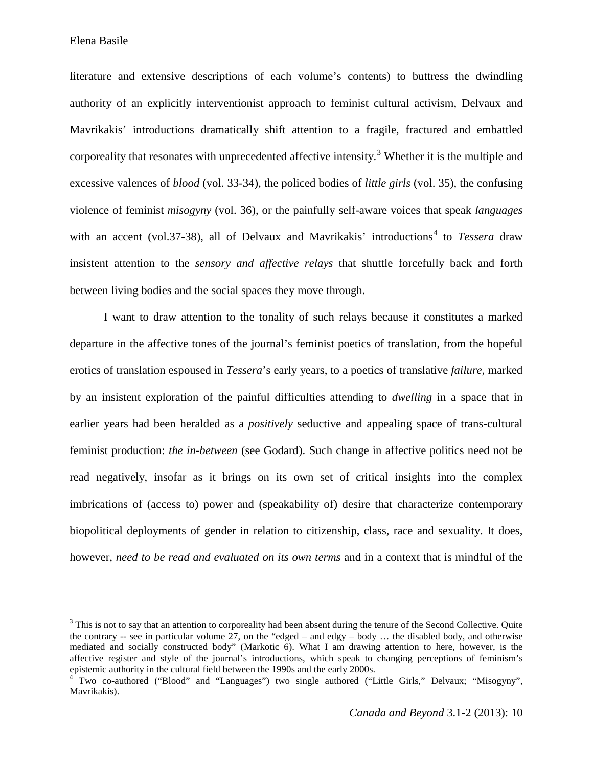Elena Basile

l

literature and extensive descriptions of each volume's contents) to buttress the dwindling authority of an explicitly interventionist approach to feminist cultural activism, Delvaux and Mavrikakis' introductions dramatically shift attention to a fragile, fractured and embattled corporeality that resonates with unprecedented affective intensity.<sup>[3](#page-3-0)</sup> Whether it is the multiple and excessive valences of *blood* (vol. 33-34)*,* the policed bodies of *little girls* (vol. 35)*,* the confusing violence of feminist *misogyny* (vol. 36), or the painfully self-aware voices that speak *languages* with an accent (vol.37-38), all of Delvaux and Mavrikakis' introductions [4](#page-3-1) to *Tessera* draw insistent attention to the *sensory and affective relays* that shuttle forcefully back and forth between living bodies and the social spaces they move through.

I want to draw attention to the tonality of such relays because it constitutes a marked departure in the affective tones of the journal's feminist poetics of translation, from the hopeful erotics of translation espoused in *Tessera*'s early years, to a poetics of translative *failure*, marked by an insistent exploration of the painful difficulties attending to *dwelling* in a space that in earlier years had been heralded as a *positively* seductive and appealing space of trans-cultural feminist production: *the in-between* (see Godard). Such change in affective politics need not be read negatively, insofar as it brings on its own set of critical insights into the complex imbrications of (access to) power and (speakability of) desire that characterize contemporary biopolitical deployments of gender in relation to citizenship, class, race and sexuality. It does, however, *need to be read and evaluated on its own terms* and in a context that is mindful of the

<span id="page-3-0"></span><sup>&</sup>lt;sup>3</sup> This is not to say that an attention to corporeality had been absent during the tenure of the Second Collective. Quite the contrary -- see in particular volume 27, on the "edged – and edgy – body … the disabled body, and otherwise mediated and socially constructed body" (Markotic 6). What I am drawing attention to here, however, is the affective register and style of the journal's introductions, which speak to changing perceptions of feminism's epistemic authority in the cultural field between the 1990s and the early 2000s.

<span id="page-3-1"></span><sup>&</sup>lt;sup>4</sup> Two co-authored ("Blood" and "Languages") two single authored ("Little Girls," Delvaux; "Misogyny", Mavrikakis).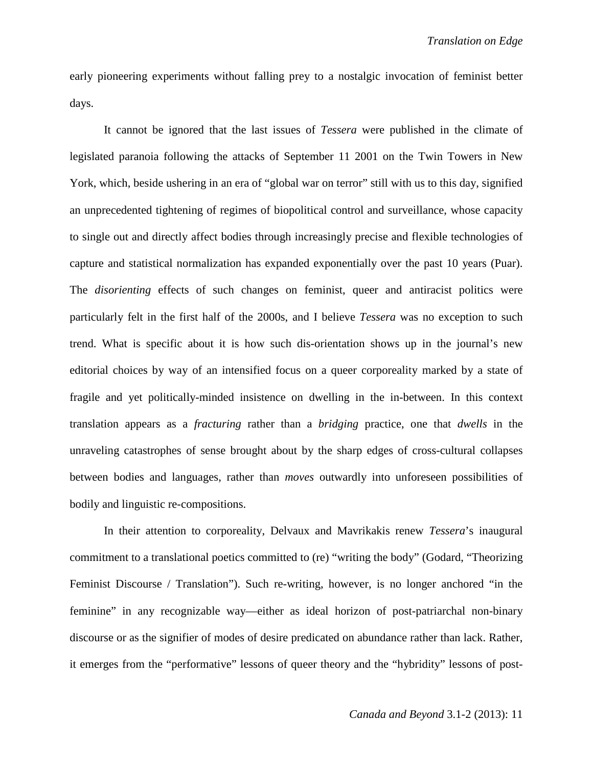early pioneering experiments without falling prey to a nostalgic invocation of feminist better days.

It cannot be ignored that the last issues of *Tessera* were published in the climate of legislated paranoia following the attacks of September 11 2001 on the Twin Towers in New York, which, beside ushering in an era of "global war on terror" still with us to this day, signified an unprecedented tightening of regimes of biopolitical control and surveillance, whose capacity to single out and directly affect bodies through increasingly precise and flexible technologies of capture and statistical normalization has expanded exponentially over the past 10 years (Puar). The *disorienting* effects of such changes on feminist, queer and antiracist politics were particularly felt in the first half of the 2000s, and I believe *Tessera* was no exception to such trend. What is specific about it is how such dis-orientation shows up in the journal's new editorial choices by way of an intensified focus on a queer corporeality marked by a state of fragile and yet politically-minded insistence on dwelling in the in-between. In this context translation appears as a *fracturing* rather than a *bridging* practice, one that *dwells* in the unraveling catastrophes of sense brought about by the sharp edges of cross-cultural collapses between bodies and languages, rather than *moves* outwardly into unforeseen possibilities of bodily and linguistic re-compositions.

In their attention to corporeality, Delvaux and Mavrikakis renew *Tessera*'s inaugural commitment to a translational poetics committed to (re) "writing the body" (Godard, "Theorizing Feminist Discourse / Translation"). Such re-writing, however, is no longer anchored "in the feminine" in any recognizable way—either as ideal horizon of post-patriarchal non-binary discourse or as the signifier of modes of desire predicated on abundance rather than lack. Rather, it emerges from the "performative" lessons of queer theory and the "hybridity" lessons of post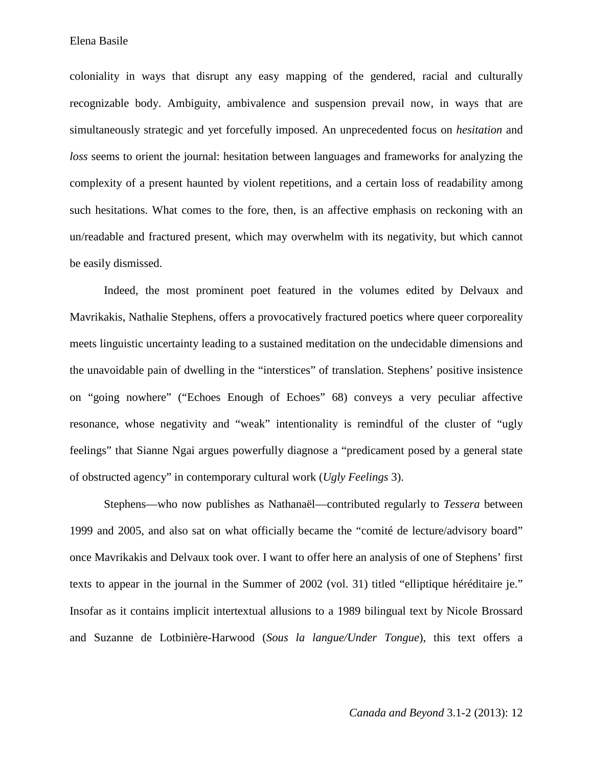coloniality in ways that disrupt any easy mapping of the gendered, racial and culturally recognizable body. Ambiguity, ambivalence and suspension prevail now, in ways that are simultaneously strategic and yet forcefully imposed. An unprecedented focus on *hesitation* and *loss* seems to orient the journal: hesitation between languages and frameworks for analyzing the complexity of a present haunted by violent repetitions, and a certain loss of readability among such hesitations. What comes to the fore, then, is an affective emphasis on reckoning with an un/readable and fractured present, which may overwhelm with its negativity, but which cannot be easily dismissed.

Indeed, the most prominent poet featured in the volumes edited by Delvaux and Mavrikakis, Nathalie Stephens, offers a provocatively fractured poetics where queer corporeality meets linguistic uncertainty leading to a sustained meditation on the undecidable dimensions and the unavoidable pain of dwelling in the "interstices" of translation. Stephens' positive insistence on "going nowhere" ("Echoes Enough of Echoes" 68) conveys a very peculiar affective resonance, whose negativity and "weak" intentionality is remindful of the cluster of "ugly feelings" that Sianne Ngai argues powerfully diagnose a "predicament posed by a general state of obstructed agency" in contemporary cultural work (*Ugly Feelings* 3).

Stephens—who now publishes as Nathanaël—contributed regularly to *Tessera* between 1999 and 2005, and also sat on what officially became the "comité de lecture/advisory board" once Mavrikakis and Delvaux took over. I want to offer here an analysis of one of Stephens' first texts to appear in the journal in the Summer of 2002 (vol. 31) titled "elliptique héréditaire je." Insofar as it contains implicit intertextual allusions to a 1989 bilingual text by Nicole Brossard and Suzanne de Lotbinière-Harwood (*Sous la langue/Under Tongue*), this text offers a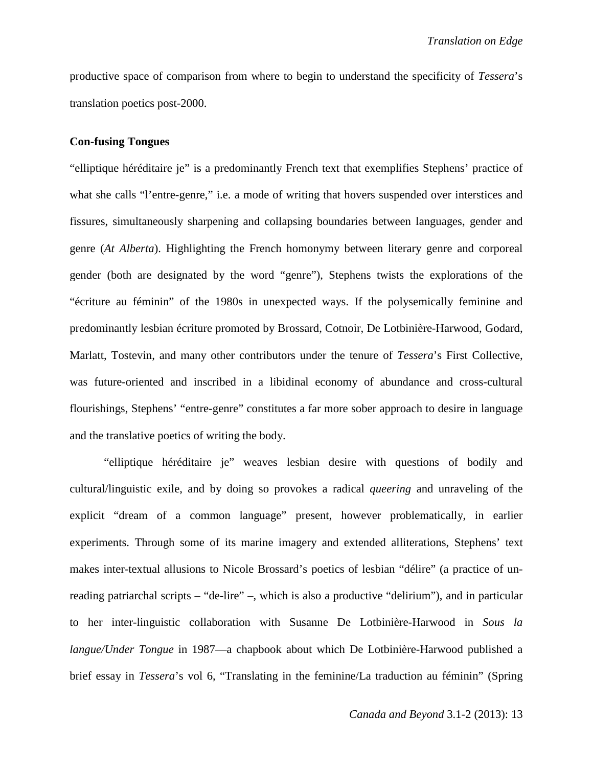productive space of comparison from where to begin to understand the specificity of *Tessera*'s translation poetics post-2000.

# **Con-fusing Tongues**

"elliptique héréditaire je" is a predominantly French text that exemplifies Stephens' practice of what she calls "l'entre-genre," i.e. a mode of writing that hovers suspended over interstices and fissures, simultaneously sharpening and collapsing boundaries between languages, gender and genre (*At Alberta*). Highlighting the French homonymy between literary genre and corporeal gender (both are designated by the word "genre"), Stephens twists the explorations of the "écriture au féminin" of the 1980s in unexpected ways. If the polysemically feminine and predominantly lesbian écriture promoted by Brossard, Cotnoir, De Lotbinière-Harwood, Godard, Marlatt, Tostevin, and many other contributors under the tenure of *Tessera*'s First Collective, was future-oriented and inscribed in a libidinal economy of abundance and cross-cultural flourishings, Stephens' "entre-genre" constitutes a far more sober approach to desire in language and the translative poetics of writing the body.

"elliptique héréditaire je" weaves lesbian desire with questions of bodily and cultural/linguistic exile, and by doing so provokes a radical *queering* and unraveling of the explicit "dream of a common language" present, however problematically, in earlier experiments. Through some of its marine imagery and extended alliterations, Stephens' text makes inter-textual allusions to Nicole Brossard's poetics of lesbian "délire" (a practice of unreading patriarchal scripts – "de-lire" –, which is also a productive "delirium"), and in particular to her inter-linguistic collaboration with Susanne De Lotbinière-Harwood in *Sous la langue/Under Tongue* in 1987—a chapbook about which De Lotbinière-Harwood published a brief essay in *Tessera*'s vol 6, "Translating in the feminine/La traduction au féminin" (Spring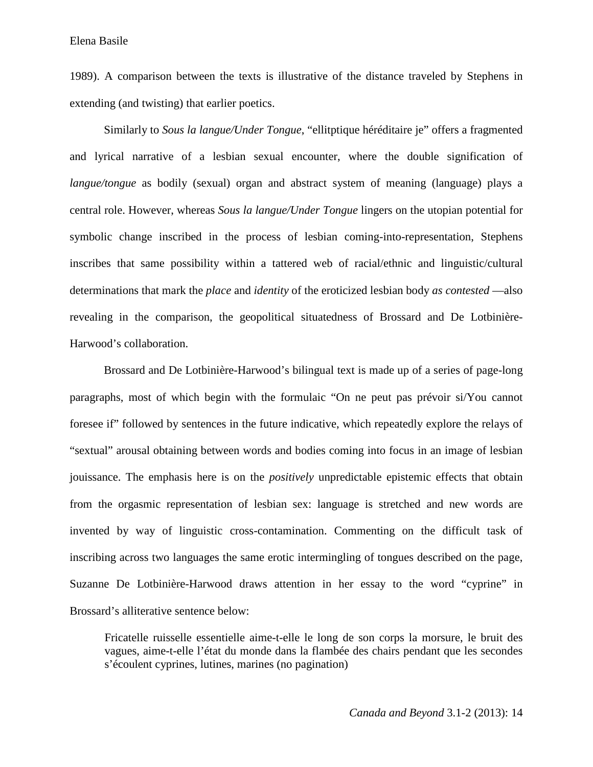1989). A comparison between the texts is illustrative of the distance traveled by Stephens in extending (and twisting) that earlier poetics.

Similarly to *Sous la langue/Under Tongue*, "ellitptique héréditaire je" offers a fragmented and lyrical narrative of a lesbian sexual encounter, where the double signification of *langue/tongue* as bodily (sexual) organ and abstract system of meaning (language) plays a central role. However, whereas *Sous la langue/Under Tongue* lingers on the utopian potential for symbolic change inscribed in the process of lesbian coming-into-representation, Stephens inscribes that same possibility within a tattered web of racial/ethnic and linguistic/cultural determinations that mark the *place* and *identity* of the eroticized lesbian body *as contested* —also revealing in the comparison, the geopolitical situatedness of Brossard and De Lotbinière-Harwood's collaboration.

Brossard and De Lotbinière-Harwood's bilingual text is made up of a series of page-long paragraphs, most of which begin with the formulaic "On ne peut pas prévoir si/You cannot foresee if" followed by sentences in the future indicative, which repeatedly explore the relays of "sextual" arousal obtaining between words and bodies coming into focus in an image of lesbian jouissance. The emphasis here is on the *positively* unpredictable epistemic effects that obtain from the orgasmic representation of lesbian sex: language is stretched and new words are invented by way of linguistic cross-contamination. Commenting on the difficult task of inscribing across two languages the same erotic intermingling of tongues described on the page, Suzanne De Lotbinière-Harwood draws attention in her essay to the word "cyprine" in Brossard's alliterative sentence below:

Fricatelle ruisselle essentielle aime-t-elle le long de son corps la morsure, le bruit des vagues, aime-t-elle l'état du monde dans la flambée des chairs pendant que les secondes s'écoulent cyprines, lutines, marines (no pagination)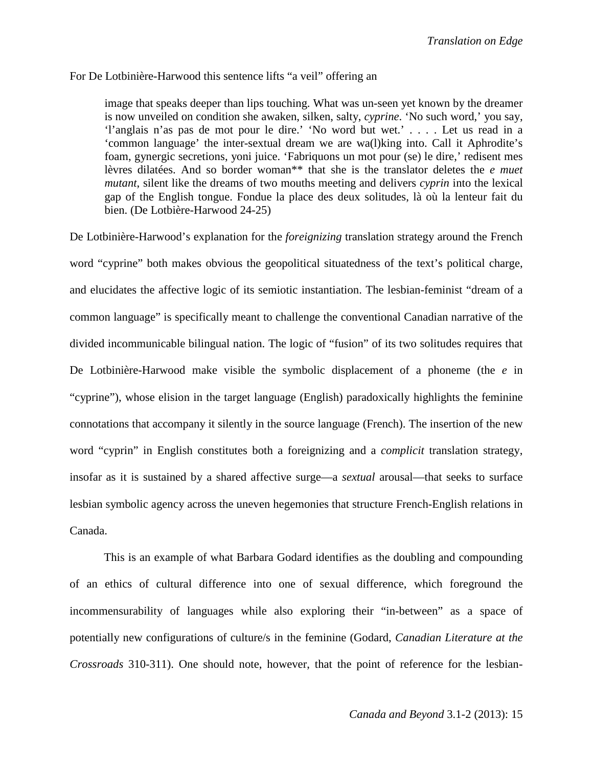# For De Lotbinière-Harwood this sentence lifts "a veil" offering an

image that speaks deeper than lips touching. What was un-seen yet known by the dreamer is now unveiled on condition she awaken, silken, salty, *cyprine*. 'No such word,' you say, 'l'anglais n'as pas de mot pour le dire.' 'No word but wet.' . . . . Let us read in a 'common language' the inter-sextual dream we are wa(l)king into. Call it Aphrodite's foam, gynergic secretions, yoni juice. 'Fabriquons un mot pour (se) le dire,' redisent mes lèvres dilatées. And so border woman\*\* that she is the translator deletes the *e muet mutant*, silent like the dreams of two mouths meeting and delivers *cyprin* into the lexical gap of the English tongue. Fondue la place des deux solitudes, là où la lenteur fait du bien. (De Lotbière-Harwood 24-25)

De Lotbinière-Harwood's explanation for the *foreignizing* translation strategy around the French word "cyprine" both makes obvious the geopolitical situatedness of the text's political charge, and elucidates the affective logic of its semiotic instantiation. The lesbian-feminist "dream of a common language" is specifically meant to challenge the conventional Canadian narrative of the divided incommunicable bilingual nation. The logic of "fusion" of its two solitudes requires that De Lotbinière-Harwood make visible the symbolic displacement of a phoneme (the *e* in "cyprine"), whose elision in the target language (English) paradoxically highlights the feminine connotations that accompany it silently in the source language (French). The insertion of the new word "cyprin" in English constitutes both a foreignizing and a *complicit* translation strategy, insofar as it is sustained by a shared affective surge—a *sextual* arousal—that seeks to surface lesbian symbolic agency across the uneven hegemonies that structure French-English relations in Canada.

This is an example of what Barbara Godard identifies as the doubling and compounding of an ethics of cultural difference into one of sexual difference, which foreground the incommensurability of languages while also exploring their "in-between" as a space of potentially new configurations of culture/s in the feminine (Godard, *Canadian Literature at the Crossroads* 310-311). One should note, however, that the point of reference for the lesbian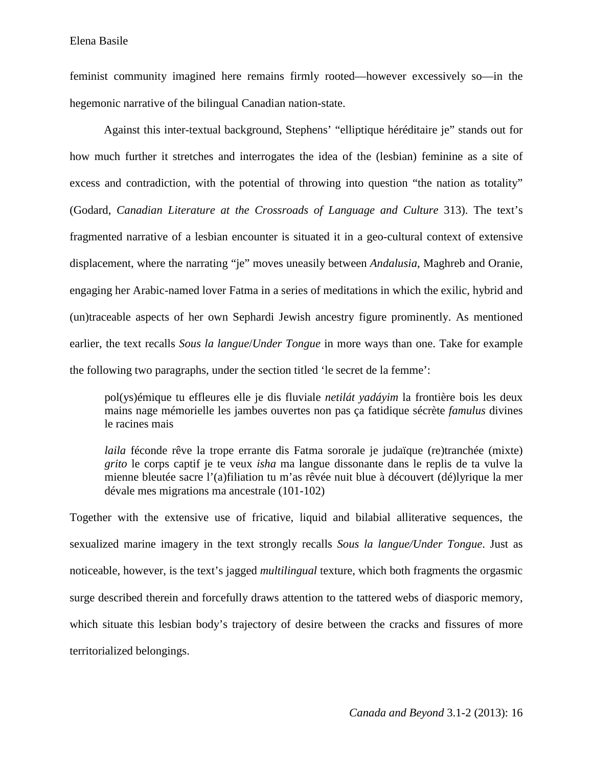feminist community imagined here remains firmly rooted—however excessively so—in the hegemonic narrative of the bilingual Canadian nation-state.

Against this inter-textual background, Stephens' "elliptique héréditaire je" stands out for how much further it stretches and interrogates the idea of the (lesbian) feminine as a site of excess and contradiction, with the potential of throwing into question "the nation as totality" (Godard, *Canadian Literature at the Crossroads of Language and Culture* 313). The text's fragmented narrative of a lesbian encounter is situated it in a geo-cultural context of extensive displacement, where the narrating "je" moves uneasily between *Andalusia*, Maghreb and Oranie, engaging her Arabic-named lover Fatma in a series of meditations in which the exilic, hybrid and (un)traceable aspects of her own Sephardi Jewish ancestry figure prominently. As mentioned earlier, the text recalls *Sous la langue*/*Under Tongue* in more ways than one. Take for example the following two paragraphs, under the section titled 'le secret de la femme':

pol(ys)émique tu effleures elle je dis fluviale *netilát yadáyim* la frontière bois les deux mains nage mémorielle les jambes ouvertes non pas ça fatidique sécrète *famulus* divines le racines mais

*laila* féconde rêve la trope errante dis Fatma sororale je judaïque (re)tranchée (mixte) *grito* le corps captif je te veux *isha* ma langue dissonante dans le replis de ta vulve la mienne bleutée sacre l'(a)filiation tu m'as rêvée nuit blue à découvert (dé)lyrique la mer dévale mes migrations ma ancestrale (101-102)

Together with the extensive use of fricative, liquid and bilabial alliterative sequences, the sexualized marine imagery in the text strongly recalls *Sous la langue/Under Tongue*. Just as noticeable, however, is the text's jagged *multilingual* texture, which both fragments the orgasmic surge described therein and forcefully draws attention to the tattered webs of diasporic memory, which situate this lesbian body's trajectory of desire between the cracks and fissures of more territorialized belongings.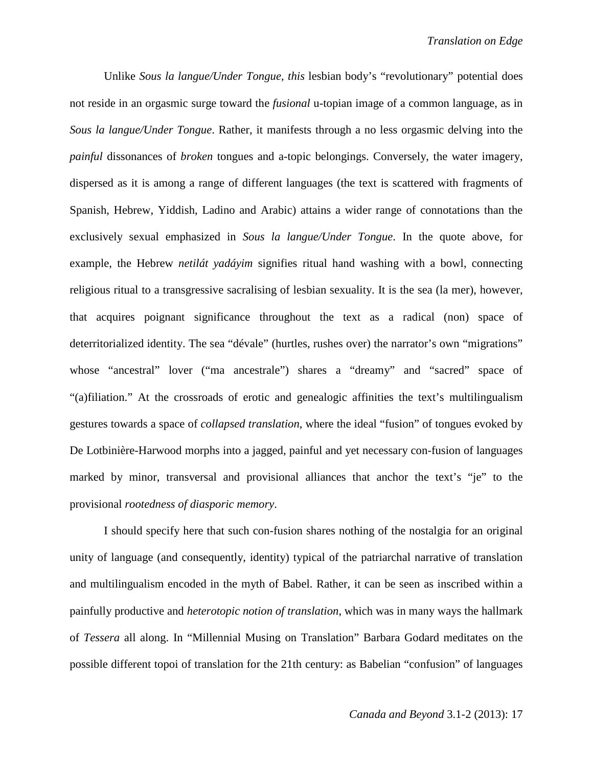Unlike *Sous la langue/Under Tongue, this* lesbian body's "revolutionary" potential does not reside in an orgasmic surge toward the *fusional* u-topian image of a common language, as in *Sous la langue/Under Tongue*. Rather, it manifests through a no less orgasmic delving into the *painful* dissonances of *broken* tongues and a-topic belongings. Conversely, the water imagery, dispersed as it is among a range of different languages (the text is scattered with fragments of Spanish, Hebrew, Yiddish, Ladino and Arabic) attains a wider range of connotations than the exclusively sexual emphasized in *Sous la langue/Under Tongue*. In the quote above, for example, the Hebrew *netilát yadáyim* signifies ritual hand washing with a bowl, connecting religious ritual to a transgressive sacralising of lesbian sexuality. It is the sea (la mer), however, that acquires poignant significance throughout the text as a radical (non) space of deterritorialized identity. The sea "dévale" (hurtles, rushes over) the narrator's own "migrations" whose "ancestral" lover ("ma ancestrale") shares a "dreamy" and "sacred" space of "(a)filiation." At the crossroads of erotic and genealogic affinities the text's multilingualism gestures towards a space of *collapsed translation*, where the ideal "fusion" of tongues evoked by De Lotbinière-Harwood morphs into a jagged, painful and yet necessary con-fusion of languages marked by minor, transversal and provisional alliances that anchor the text's "je" to the provisional *rootedness of diasporic memory*.

I should specify here that such con-fusion shares nothing of the nostalgia for an original unity of language (and consequently, identity) typical of the patriarchal narrative of translation and multilingualism encoded in the myth of Babel. Rather, it can be seen as inscribed within a painfully productive and *heterotopic notion of translation*, which was in many ways the hallmark of *Tessera* all along. In "Millennial Musing on Translation" Barbara Godard meditates on the possible different topoi of translation for the 21th century: as Babelian "confusion" of languages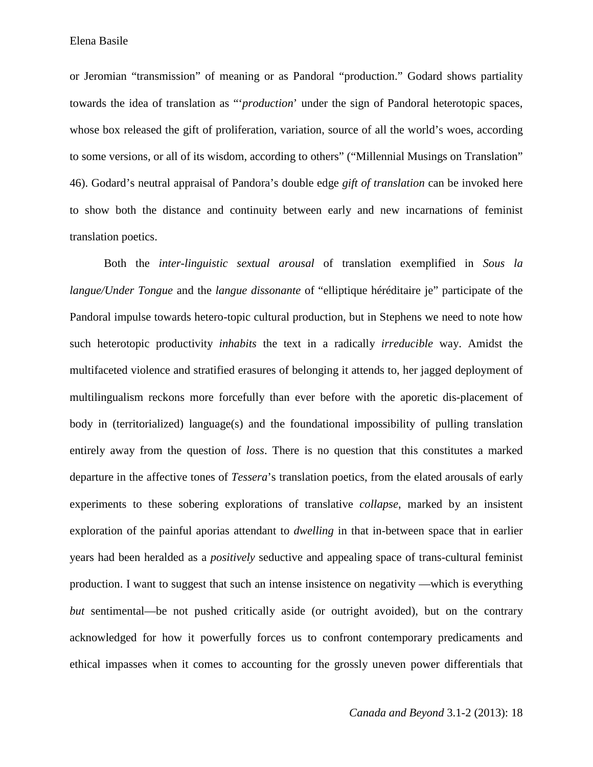Elena Basile

or Jeromian "transmission" of meaning or as Pandoral "production." Godard shows partiality towards the idea of translation as "'*production*' under the sign of Pandoral heterotopic spaces, whose box released the gift of proliferation, variation, source of all the world's woes, according to some versions, or all of its wisdom, according to others" ("Millennial Musings on Translation" 46). Godard's neutral appraisal of Pandora's double edge *gift of translation* can be invoked here to show both the distance and continuity between early and new incarnations of feminist translation poetics.

Both the *inter-linguistic sextual arousal* of translation exemplified in *Sous la langue/Under Tongue* and the *langue dissonante* of "elliptique héréditaire je" participate of the Pandoral impulse towards hetero-topic cultural production, but in Stephens we need to note how such heterotopic productivity *inhabits* the text in a radically *irreducible* way. Amidst the multifaceted violence and stratified erasures of belonging it attends to, her jagged deployment of multilingualism reckons more forcefully than ever before with the aporetic dis-placement of body in (territorialized) language(s) and the foundational impossibility of pulling translation entirely away from the question of *loss*. There is no question that this constitutes a marked departure in the affective tones of *Tessera*'s translation poetics, from the elated arousals of early experiments to these sobering explorations of translative *collapse*, marked by an insistent exploration of the painful aporias attendant to *dwelling* in that in-between space that in earlier years had been heralded as a *positively* seductive and appealing space of trans-cultural feminist production. I want to suggest that such an intense insistence on negativity —which is everything *but* sentimental—be not pushed critically aside (or outright avoided), but on the contrary acknowledged for how it powerfully forces us to confront contemporary predicaments and ethical impasses when it comes to accounting for the grossly uneven power differentials that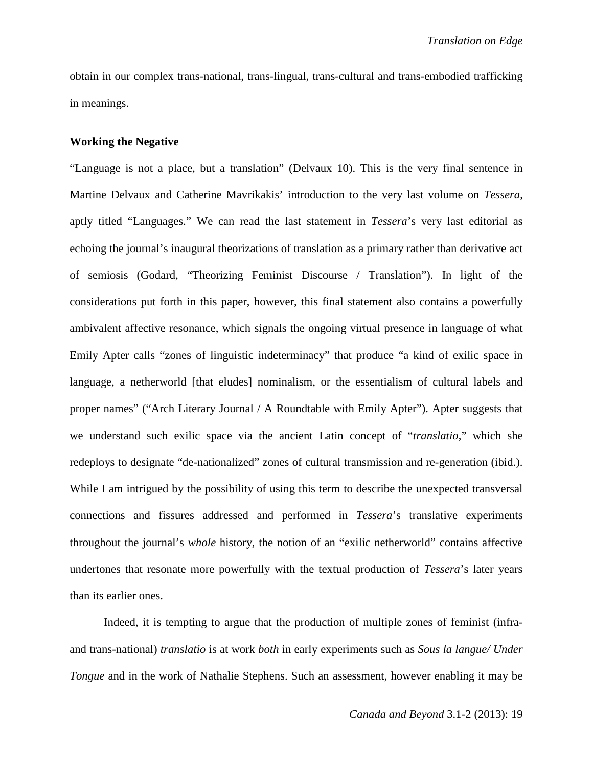obtain in our complex trans-national, trans-lingual, trans-cultural and trans-embodied trafficking in meanings.

# **Working the Negative**

"Language is not a place, but a translation" (Delvaux 10). This is the very final sentence in Martine Delvaux and Catherine Mavrikakis' introduction to the very last volume on *Tessera*, aptly titled "Languages." We can read the last statement in *Tessera*'s very last editorial as echoing the journal's inaugural theorizations of translation as a primary rather than derivative act of semiosis (Godard, "Theorizing Feminist Discourse / Translation"). In light of the considerations put forth in this paper, however, this final statement also contains a powerfully ambivalent affective resonance, which signals the ongoing virtual presence in language of what Emily Apter calls "zones of linguistic indeterminacy" that produce "a kind of exilic space in language, a netherworld [that eludes] nominalism, or the essentialism of cultural labels and proper names" ("Arch Literary Journal / A Roundtable with Emily Apter"). Apter suggests that we understand such exilic space via the ancient Latin concept of "*translatio*," which she redeploys to designate "de-nationalized" zones of cultural transmission and re-generation (ibid.). While I am intrigued by the possibility of using this term to describe the unexpected transversal connections and fissures addressed and performed in *Tessera*'s translative experiments throughout the journal's *whole* history, the notion of an "exilic netherworld" contains affective undertones that resonate more powerfully with the textual production of *Tessera*'s later years than its earlier ones.

Indeed, it is tempting to argue that the production of multiple zones of feminist (infraand trans-national) *translatio* is at work *both* in early experiments such as *Sous la langue/ Under Tongue* and in the work of Nathalie Stephens. Such an assessment, however enabling it may be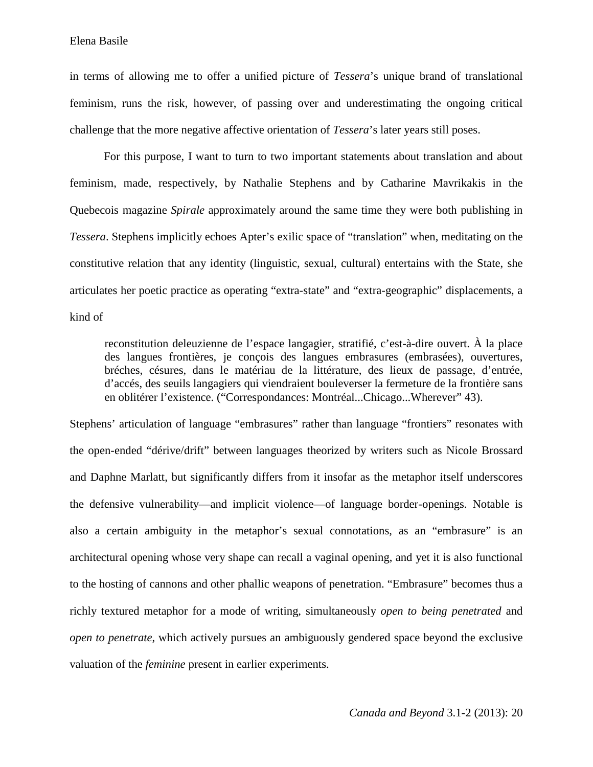in terms of allowing me to offer a unified picture of *Tessera*'s unique brand of translational feminism, runs the risk, however, of passing over and underestimating the ongoing critical challenge that the more negative affective orientation of *Tessera*'s later years still poses.

For this purpose, I want to turn to two important statements about translation and about feminism, made, respectively, by Nathalie Stephens and by Catharine Mavrikakis in the Quebecois magazine *Spirale* approximately around the same time they were both publishing in *Tessera*. Stephens implicitly echoes Apter's exilic space of "translation" when, meditating on the constitutive relation that any identity (linguistic, sexual, cultural) entertains with the State, she articulates her poetic practice as operating "extra-state" and "extra-geographic" displacements, a kind of

reconstitution deleuzienne de l'espace langagier, stratifié, c'est-à-dire ouvert. À la place des langues frontières, je conçois des langues embrasures (embrasées), ouvertures, bréches, césures, dans le matériau de la littérature, des lieux de passage, d'entrée, d'accés, des seuils langagiers qui viendraient bouleverser la fermeture de la frontière sans en oblitérer l'existence. ("Correspondances: Montréal...Chicago...Wherever" 43).

Stephens' articulation of language "embrasures" rather than language "frontiers" resonates with the open-ended "dérive/drift" between languages theorized by writers such as Nicole Brossard and Daphne Marlatt, but significantly differs from it insofar as the metaphor itself underscores the defensive vulnerability—and implicit violence—of language border-openings. Notable is also a certain ambiguity in the metaphor's sexual connotations, as an "embrasure" is an architectural opening whose very shape can recall a vaginal opening, and yet it is also functional to the hosting of cannons and other phallic weapons of penetration. "Embrasure" becomes thus a richly textured metaphor for a mode of writing, simultaneously *open to being penetrated* and *open to penetrate*, which actively pursues an ambiguously gendered space beyond the exclusive valuation of the *feminine* present in earlier experiments.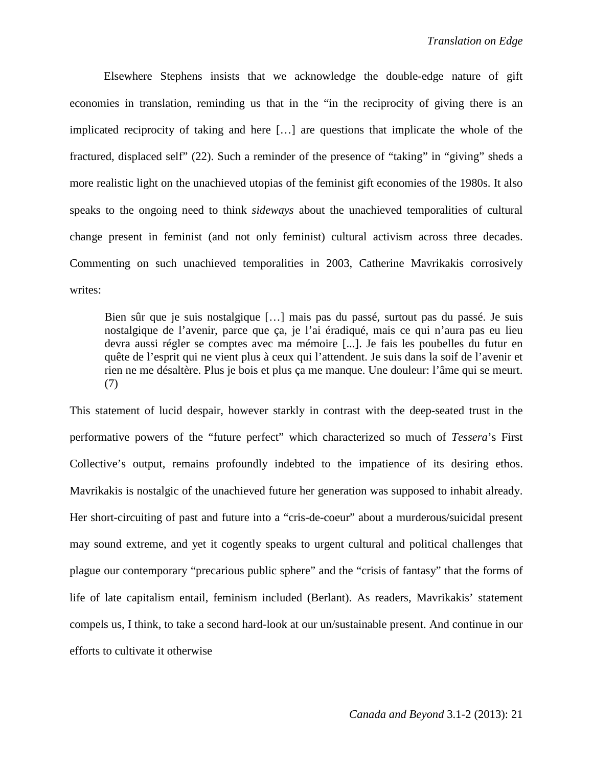Elsewhere Stephens insists that we acknowledge the double-edge nature of gift economies in translation, reminding us that in the "in the reciprocity of giving there is an implicated reciprocity of taking and here […] are questions that implicate the whole of the fractured, displaced self" (22). Such a reminder of the presence of "taking" in "giving" sheds a more realistic light on the unachieved utopias of the feminist gift economies of the 1980s. It also speaks to the ongoing need to think *sideways* about the unachieved temporalities of cultural change present in feminist (and not only feminist) cultural activism across three decades. Commenting on such unachieved temporalities in 2003, Catherine Mavrikakis corrosively writes:

Bien sûr que je suis nostalgique […] mais pas du passé, surtout pas du passé. Je suis nostalgique de l'avenir, parce que ça, je l'ai éradiqué, mais ce qui n'aura pas eu lieu devra aussi régler se comptes avec ma mémoire [...]. Je fais les poubelles du futur en quête de l'esprit qui ne vient plus à ceux qui l'attendent. Je suis dans la soif de l'avenir et rien ne me désaltère. Plus je bois et plus ça me manque. Une douleur: l'âme qui se meurt. (7)

This statement of lucid despair, however starkly in contrast with the deep-seated trust in the performative powers of the "future perfect" which characterized so much of *Tessera*'s First Collective's output, remains profoundly indebted to the impatience of its desiring ethos. Mavrikakis is nostalgic of the unachieved future her generation was supposed to inhabit already. Her short-circuiting of past and future into a "cris-de-coeur" about a murderous/suicidal present may sound extreme, and yet it cogently speaks to urgent cultural and political challenges that plague our contemporary "precarious public sphere" and the "crisis of fantasy" that the forms of life of late capitalism entail, feminism included (Berlant). As readers, Mavrikakis' statement compels us, I think, to take a second hard-look at our un/sustainable present. And continue in our efforts to cultivate it otherwise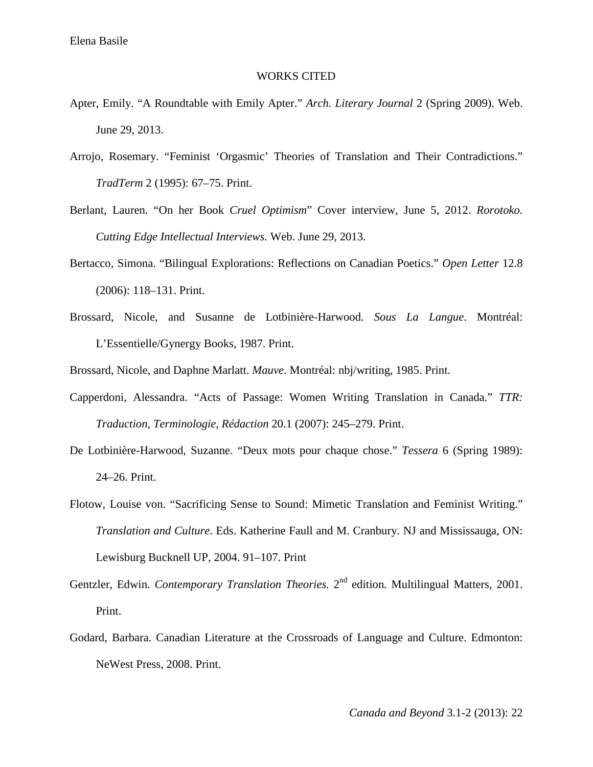# WORKS CITED

- Apter, Emily. "A Roundtable with Emily Apter." *Arch. Literary Journal* 2 (Spring 2009). Web. June 29, 2013.
- Arrojo, Rosemary. "Feminist 'Orgasmic' Theories of Translation and Their Contradictions." *TradTerm* 2 (1995): 67–75. Print.
- Berlant, Lauren. "On her Book *Cruel Optimism*" Cover interview, June 5, 2012. *Rorotoko. Cutting Edge Intellectual Interviews.* Web. June 29, 2013.
- Bertacco, Simona. "Bilingual Explorations: Reflections on Canadian Poetics." *Open Letter* 12.8 (2006): 118–131. Print.
- Brossard, Nicole, and Susanne de Lotbinière-Harwood. *Sous La Langue*. Montréal: L'Essentielle/Gynergy Books, 1987. Print.

Brossard, Nicole, and Daphne Marlatt. *Mauve*. Montréal: nbj/writing, 1985. Print.

- Capperdoni, Alessandra. "Acts of Passage: Women Writing Translation in Canada." *TTR: Traduction, Terminologie, Rédaction* 20.1 (2007): 245–279. Print.
- De Lotbinière-Harwood, Suzanne. "Deux mots pour chaque chose." *Tessera* 6 (Spring 1989): 24–26. Print.
- Flotow, Louise von. "Sacrificing Sense to Sound: Mimetic Translation and Feminist Writing." *Translation and Culture*. Eds. Katherine Faull and M. Cranbury. NJ and Mississauga, ON: Lewisburg Bucknell UP, 2004. 91–107. Print
- Gentzler, Edwin. *Contemporary Translation Theories*. 2<sup>nd</sup> edition. Multilingual Matters, 2001. Print.
- Godard, Barbara. Canadian Literature at the Crossroads of Language and Culture. Edmonton: NeWest Press, 2008. Print.